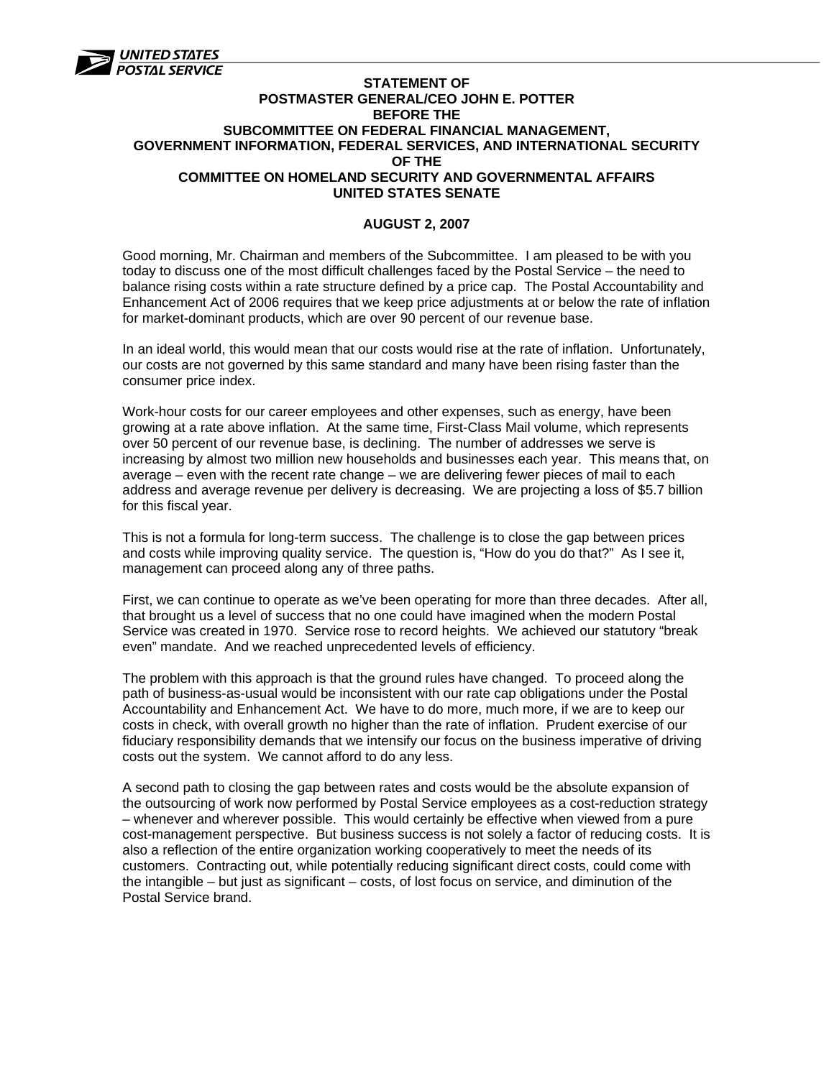

## **STATEMENT OF POSTMASTER GENERAL/CEO JOHN E. POTTER BEFORE THE SUBCOMMITTEE ON FEDERAL FINANCIAL MANAGEMENT, GOVERNMENT INFORMATION, FEDERAL SERVICES, AND INTERNATIONAL SECURITY OF THE COMMITTEE ON HOMELAND SECURITY AND GOVERNMENTAL AFFAIRS UNITED STATES SENATE**

## **AUGUST 2, 2007**

Good morning, Mr. Chairman and members of the Subcommittee. I am pleased to be with you today to discuss one of the most difficult challenges faced by the Postal Service – the need to balance rising costs within a rate structure defined by a price cap. The Postal Accountability and Enhancement Act of 2006 requires that we keep price adjustments at or below the rate of inflation for market-dominant products, which are over 90 percent of our revenue base.

In an ideal world, this would mean that our costs would rise at the rate of inflation. Unfortunately, our costs are not governed by this same standard and many have been rising faster than the consumer price index.

Work-hour costs for our career employees and other expenses, such as energy, have been growing at a rate above inflation. At the same time, First-Class Mail volume, which represents over 50 percent of our revenue base, is declining. The number of addresses we serve is increasing by almost two million new households and businesses each year. This means that, on average – even with the recent rate change – we are delivering fewer pieces of mail to each address and average revenue per delivery is decreasing. We are projecting a loss of \$5.7 billion for this fiscal year.

This is not a formula for long-term success. The challenge is to close the gap between prices and costs while improving quality service. The question is, "How do you do that?" As I see it, management can proceed along any of three paths.

First, we can continue to operate as we've been operating for more than three decades. After all, that brought us a level of success that no one could have imagined when the modern Postal Service was created in 1970. Service rose to record heights. We achieved our statutory "break even" mandate. And we reached unprecedented levels of efficiency.

The problem with this approach is that the ground rules have changed. To proceed along the path of business-as-usual would be inconsistent with our rate cap obligations under the Postal Accountability and Enhancement Act. We have to do more, much more, if we are to keep our costs in check, with overall growth no higher than the rate of inflation. Prudent exercise of our fiduciary responsibility demands that we intensify our focus on the business imperative of driving costs out the system. We cannot afford to do any less.

A second path to closing the gap between rates and costs would be the absolute expansion of the outsourcing of work now performed by Postal Service employees as a cost-reduction strategy – whenever and wherever possible. This would certainly be effective when viewed from a pure cost-management perspective. But business success is not solely a factor of reducing costs. It is also a reflection of the entire organization working cooperatively to meet the needs of its customers. Contracting out, while potentially reducing significant direct costs, could come with the intangible – but just as significant – costs, of lost focus on service, and diminution of the Postal Service brand.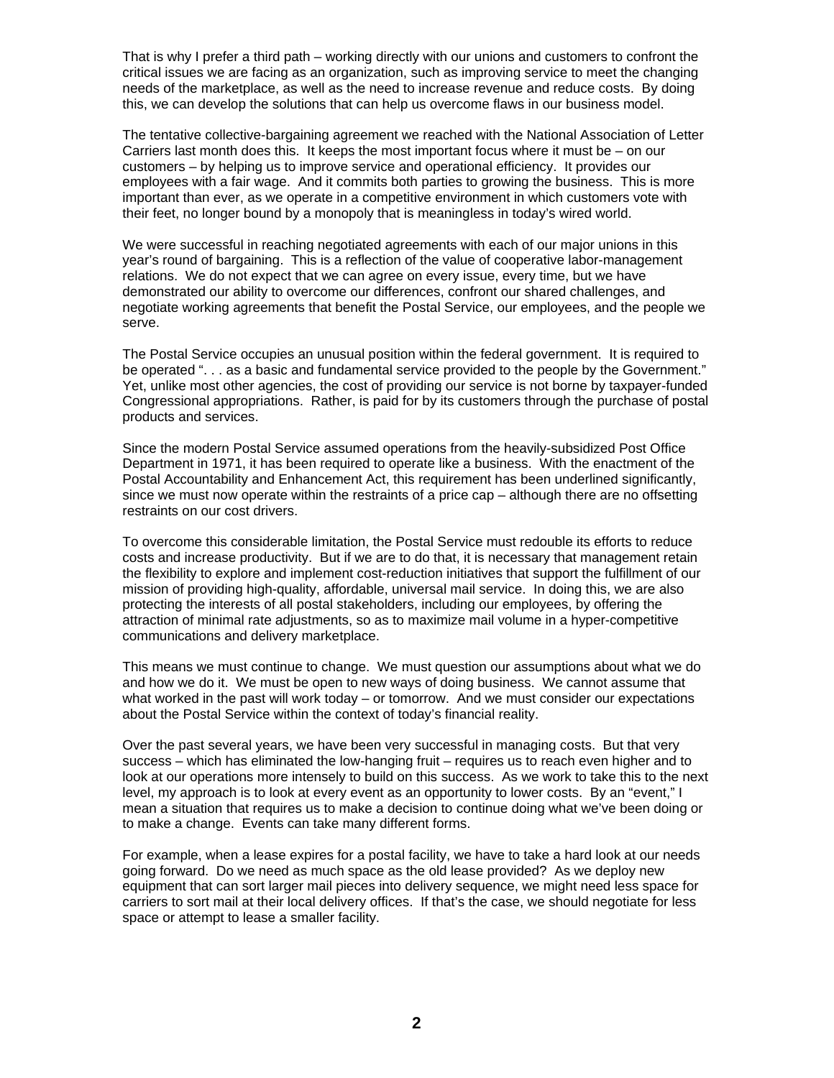That is why I prefer a third path – working directly with our unions and customers to confront the critical issues we are facing as an organization, such as improving service to meet the changing needs of the marketplace, as well as the need to increase revenue and reduce costs. By doing this, we can develop the solutions that can help us overcome flaws in our business model.

The tentative collective-bargaining agreement we reached with the National Association of Letter Carriers last month does this. It keeps the most important focus where it must be – on our customers – by helping us to improve service and operational efficiency. It provides our employees with a fair wage. And it commits both parties to growing the business. This is more important than ever, as we operate in a competitive environment in which customers vote with their feet, no longer bound by a monopoly that is meaningless in today's wired world.

We were successful in reaching negotiated agreements with each of our major unions in this year's round of bargaining. This is a reflection of the value of cooperative labor-management relations. We do not expect that we can agree on every issue, every time, but we have demonstrated our ability to overcome our differences, confront our shared challenges, and negotiate working agreements that benefit the Postal Service, our employees, and the people we serve.

The Postal Service occupies an unusual position within the federal government. It is required to be operated ". . . as a basic and fundamental service provided to the people by the Government." Yet, unlike most other agencies, the cost of providing our service is not borne by taxpayer-funded Congressional appropriations. Rather, is paid for by its customers through the purchase of postal products and services.

Since the modern Postal Service assumed operations from the heavily-subsidized Post Office Department in 1971, it has been required to operate like a business. With the enactment of the Postal Accountability and Enhancement Act, this requirement has been underlined significantly, since we must now operate within the restraints of a price cap – although there are no offsetting restraints on our cost drivers.

To overcome this considerable limitation, the Postal Service must redouble its efforts to reduce costs and increase productivity. But if we are to do that, it is necessary that management retain the flexibility to explore and implement cost-reduction initiatives that support the fulfillment of our mission of providing high-quality, affordable, universal mail service. In doing this, we are also protecting the interests of all postal stakeholders, including our employees, by offering the attraction of minimal rate adjustments, so as to maximize mail volume in a hyper-competitive communications and delivery marketplace.

This means we must continue to change. We must question our assumptions about what we do and how we do it. We must be open to new ways of doing business. We cannot assume that what worked in the past will work today – or tomorrow. And we must consider our expectations about the Postal Service within the context of today's financial reality.

Over the past several years, we have been very successful in managing costs. But that very success – which has eliminated the low-hanging fruit – requires us to reach even higher and to look at our operations more intensely to build on this success. As we work to take this to the next level, my approach is to look at every event as an opportunity to lower costs. By an "event," I mean a situation that requires us to make a decision to continue doing what we've been doing or to make a change. Events can take many different forms.

For example, when a lease expires for a postal facility, we have to take a hard look at our needs going forward. Do we need as much space as the old lease provided? As we deploy new equipment that can sort larger mail pieces into delivery sequence, we might need less space for carriers to sort mail at their local delivery offices. If that's the case, we should negotiate for less space or attempt to lease a smaller facility.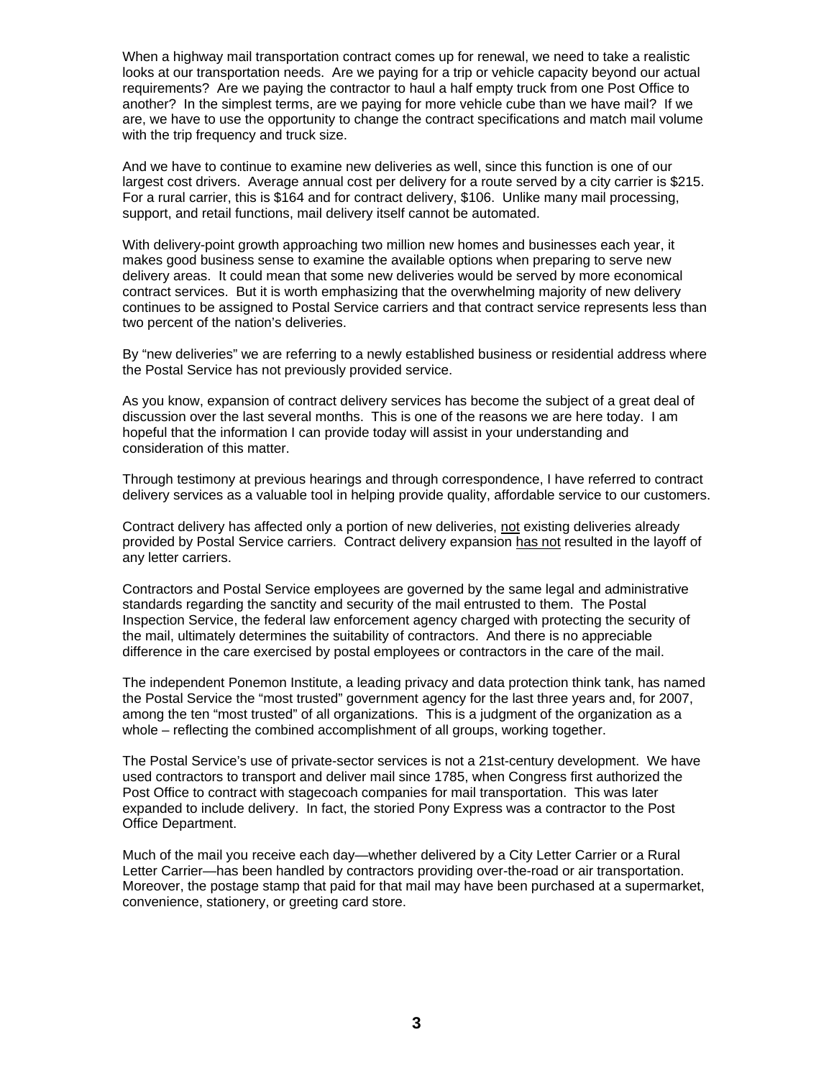When a highway mail transportation contract comes up for renewal, we need to take a realistic looks at our transportation needs. Are we paying for a trip or vehicle capacity beyond our actual requirements? Are we paying the contractor to haul a half empty truck from one Post Office to another? In the simplest terms, are we paying for more vehicle cube than we have mail? If we are, we have to use the opportunity to change the contract specifications and match mail volume with the trip frequency and truck size.

And we have to continue to examine new deliveries as well, since this function is one of our largest cost drivers. Average annual cost per delivery for a route served by a city carrier is \$215. For a rural carrier, this is \$164 and for contract delivery, \$106. Unlike many mail processing, support, and retail functions, mail delivery itself cannot be automated.

With delivery-point growth approaching two million new homes and businesses each year, it makes good business sense to examine the available options when preparing to serve new delivery areas. It could mean that some new deliveries would be served by more economical contract services. But it is worth emphasizing that the overwhelming majority of new delivery continues to be assigned to Postal Service carriers and that contract service represents less than two percent of the nation's deliveries.

By "new deliveries" we are referring to a newly established business or residential address where the Postal Service has not previously provided service.

As you know, expansion of contract delivery services has become the subject of a great deal of discussion over the last several months. This is one of the reasons we are here today. I am hopeful that the information I can provide today will assist in your understanding and consideration of this matter.

Through testimony at previous hearings and through correspondence, I have referred to contract delivery services as a valuable tool in helping provide quality, affordable service to our customers.

Contract delivery has affected only a portion of new deliveries, not existing deliveries already provided by Postal Service carriers. Contract delivery expansion has not resulted in the layoff of any letter carriers.

Contractors and Postal Service employees are governed by the same legal and administrative standards regarding the sanctity and security of the mail entrusted to them. The Postal Inspection Service, the federal law enforcement agency charged with protecting the security of the mail, ultimately determines the suitability of contractors. And there is no appreciable difference in the care exercised by postal employees or contractors in the care of the mail.

The independent Ponemon Institute, a leading privacy and data protection think tank, has named the Postal Service the "most trusted" government agency for the last three years and, for 2007, among the ten "most trusted" of all organizations. This is a judgment of the organization as a whole – reflecting the combined accomplishment of all groups, working together.

The Postal Service's use of private-sector services is not a 21st-century development. We have used contractors to transport and deliver mail since 1785, when Congress first authorized the Post Office to contract with stagecoach companies for mail transportation. This was later expanded to include delivery. In fact, the storied Pony Express was a contractor to the Post Office Department.

Much of the mail you receive each day—whether delivered by a City Letter Carrier or a Rural Letter Carrier—has been handled by contractors providing over-the-road or air transportation. Moreover, the postage stamp that paid for that mail may have been purchased at a supermarket, convenience, stationery, or greeting card store.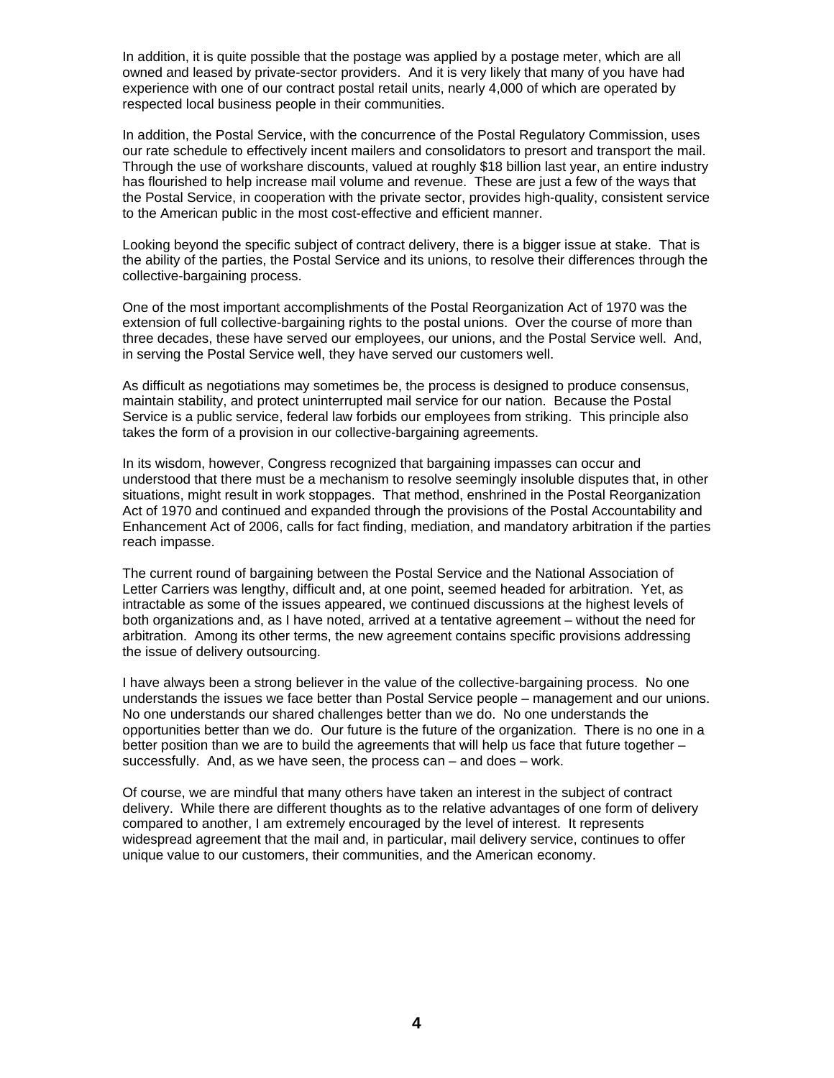In addition, it is quite possible that the postage was applied by a postage meter, which are all owned and leased by private-sector providers. And it is very likely that many of you have had experience with one of our contract postal retail units, nearly 4,000 of which are operated by respected local business people in their communities.

In addition, the Postal Service, with the concurrence of the Postal Regulatory Commission, uses our rate schedule to effectively incent mailers and consolidators to presort and transport the mail. Through the use of workshare discounts, valued at roughly \$18 billion last year, an entire industry has flourished to help increase mail volume and revenue. These are just a few of the ways that the Postal Service, in cooperation with the private sector, provides high-quality, consistent service to the American public in the most cost-effective and efficient manner.

Looking beyond the specific subject of contract delivery, there is a bigger issue at stake. That is the ability of the parties, the Postal Service and its unions, to resolve their differences through the collective-bargaining process.

One of the most important accomplishments of the Postal Reorganization Act of 1970 was the extension of full collective-bargaining rights to the postal unions. Over the course of more than three decades, these have served our employees, our unions, and the Postal Service well. And, in serving the Postal Service well, they have served our customers well.

As difficult as negotiations may sometimes be, the process is designed to produce consensus, maintain stability, and protect uninterrupted mail service for our nation. Because the Postal Service is a public service, federal law forbids our employees from striking. This principle also takes the form of a provision in our collective-bargaining agreements.

In its wisdom, however, Congress recognized that bargaining impasses can occur and understood that there must be a mechanism to resolve seemingly insoluble disputes that, in other situations, might result in work stoppages. That method, enshrined in the Postal Reorganization Act of 1970 and continued and expanded through the provisions of the Postal Accountability and Enhancement Act of 2006, calls for fact finding, mediation, and mandatory arbitration if the parties reach impasse.

The current round of bargaining between the Postal Service and the National Association of Letter Carriers was lengthy, difficult and, at one point, seemed headed for arbitration. Yet, as intractable as some of the issues appeared, we continued discussions at the highest levels of both organizations and, as I have noted, arrived at a tentative agreement – without the need for arbitration. Among its other terms, the new agreement contains specific provisions addressing the issue of delivery outsourcing.

I have always been a strong believer in the value of the collective-bargaining process. No one understands the issues we face better than Postal Service people – management and our unions. No one understands our shared challenges better than we do. No one understands the opportunities better than we do. Our future is the future of the organization. There is no one in a better position than we are to build the agreements that will help us face that future together – successfully. And, as we have seen, the process can – and does – work.

Of course, we are mindful that many others have taken an interest in the subject of contract delivery. While there are different thoughts as to the relative advantages of one form of delivery compared to another, I am extremely encouraged by the level of interest. It represents widespread agreement that the mail and, in particular, mail delivery service, continues to offer unique value to our customers, their communities, and the American economy.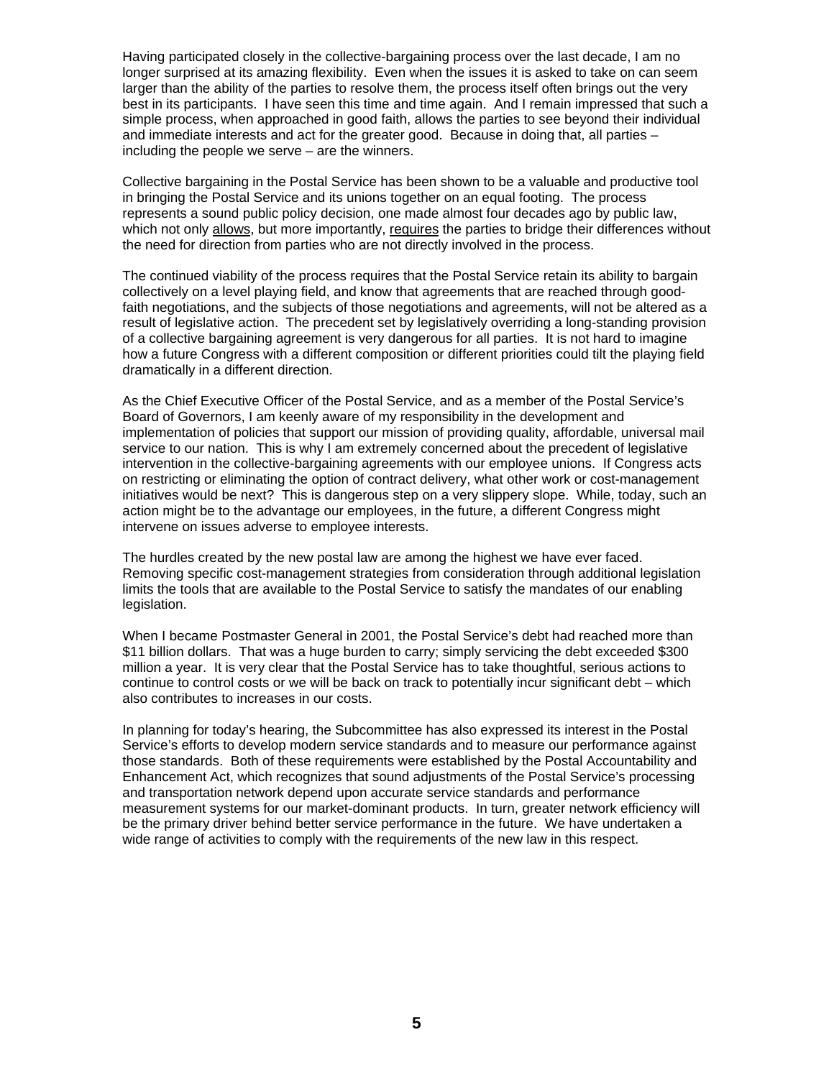Having participated closely in the collective-bargaining process over the last decade, I am no longer surprised at its amazing flexibility. Even when the issues it is asked to take on can seem larger than the ability of the parties to resolve them, the process itself often brings out the very best in its participants. I have seen this time and time again. And I remain impressed that such a simple process, when approached in good faith, allows the parties to see beyond their individual and immediate interests and act for the greater good. Because in doing that, all parties – including the people we serve – are the winners.

Collective bargaining in the Postal Service has been shown to be a valuable and productive tool in bringing the Postal Service and its unions together on an equal footing. The process represents a sound public policy decision, one made almost four decades ago by public law, which not only allows, but more importantly, requires the parties to bridge their differences without the need for direction from parties who are not directly involved in the process.

The continued viability of the process requires that the Postal Service retain its ability to bargain collectively on a level playing field, and know that agreements that are reached through goodfaith negotiations, and the subjects of those negotiations and agreements, will not be altered as a result of legislative action. The precedent set by legislatively overriding a long-standing provision of a collective bargaining agreement is very dangerous for all parties. It is not hard to imagine how a future Congress with a different composition or different priorities could tilt the playing field dramatically in a different direction.

As the Chief Executive Officer of the Postal Service, and as a member of the Postal Service's Board of Governors, I am keenly aware of my responsibility in the development and implementation of policies that support our mission of providing quality, affordable, universal mail service to our nation. This is why I am extremely concerned about the precedent of legislative intervention in the collective-bargaining agreements with our employee unions. If Congress acts on restricting or eliminating the option of contract delivery, what other work or cost-management initiatives would be next? This is dangerous step on a very slippery slope. While, today, such an action might be to the advantage our employees, in the future, a different Congress might intervene on issues adverse to employee interests.

The hurdles created by the new postal law are among the highest we have ever faced. Removing specific cost-management strategies from consideration through additional legislation limits the tools that are available to the Postal Service to satisfy the mandates of our enabling legislation.

When I became Postmaster General in 2001, the Postal Service's debt had reached more than \$11 billion dollars. That was a huge burden to carry; simply servicing the debt exceeded \$300 million a year. It is very clear that the Postal Service has to take thoughtful, serious actions to continue to control costs or we will be back on track to potentially incur significant debt – which also contributes to increases in our costs.

In planning for today's hearing, the Subcommittee has also expressed its interest in the Postal Service's efforts to develop modern service standards and to measure our performance against those standards. Both of these requirements were established by the Postal Accountability and Enhancement Act, which recognizes that sound adjustments of the Postal Service's processing and transportation network depend upon accurate service standards and performance measurement systems for our market-dominant products. In turn, greater network efficiency will be the primary driver behind better service performance in the future. We have undertaken a wide range of activities to comply with the requirements of the new law in this respect.